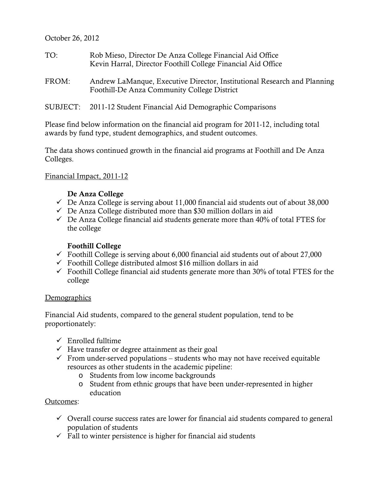October 26, 2012

- TO: Rob Mieso, Director De Anza College Financial Aid Office Kevin Harral, Director Foothill College Financial Aid Office
- FROM: Andrew LaManque, Executive Director, Institutional Research and Planning Foothill-De Anza Community College District
- SUBJECT: 2011-12 Student Financial Aid Demographic Comparisons

Please find below information on the financial aid program for 2011-12, including total awards by fund type, student demographics, and student outcomes.

The data shows continued growth in the financial aid programs at Foothill and De Anza Colleges.

### Financial Impact, 2011-12

### De Anza College

- $\checkmark$  De Anza College is serving about 11,000 financial aid students out of about 38,000
- $\checkmark$  De Anza College distributed more than \$30 million dollars in aid
- $\checkmark$  De Anza College financial aid students generate more than 40% of total FTES for the college

### Foothill College

- $\checkmark$  Foothill College is serving about 6,000 financial aid students out of about 27,000
- $\checkmark$  Foothill College distributed almost \$16 million dollars in aid
- $\checkmark$  Foothill College financial aid students generate more than 30% of total FTES for the college

#### **Demographics**

Financial Aid students, compared to the general student population, tend to be proportionately:

- $\checkmark$  Enrolled fulltime
- $\checkmark$  Have transfer or degree attainment as their goal
- $\checkmark$  From under-served populations students who may not have received equitable resources as other students in the academic pipeline:
	- o Students from low income backgrounds
	- o Student from ethnic groups that have been under-represented in higher education

#### Outcomes:

- $\checkmark$  Overall course success rates are lower for financial aid students compared to general population of students
- $\checkmark$  Fall to winter persistence is higher for financial aid students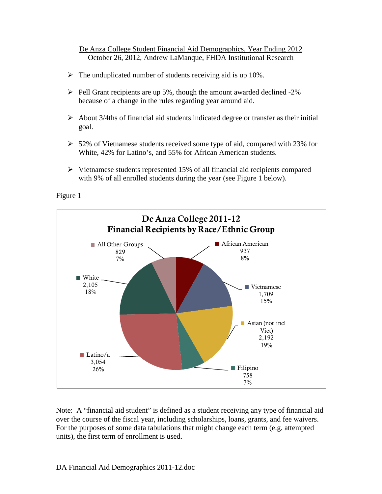October 26, 2012, Andrew LaManque, FHDA Institutional Research De Anza College Student Financial Aid Demographics, Year Ending 2012

- $\triangleright$  The unduplicated number of students receiving aid is up 10%.
- $\triangleright$  Pell Grant recipients are up 5%, though the amount awarded declined -2% because of a change in the rules regarding year around aid.
- $\triangleright$  About 3/4ths of financial aid students indicated degree or transfer as their initial goal.
- $\geq 52\%$  of Vietnamese students received some type of aid, compared with 23% for White, 42% for Latino's, and 55% for African American students.
- $\triangleright$  Vietnamese students represented 15% of all financial aid recipients compared with 9% of all enrolled students during the year (see Figure 1 below).

Figure 1



Note: A "financial aid student" is defined as a student receiving any type of financial aid over the course of the fiscal year, including scholarships, loans, grants, and fee waivers. For the purposes of some data tabulations that might change each term (e.g. attempted units), the first term of enrollment is used.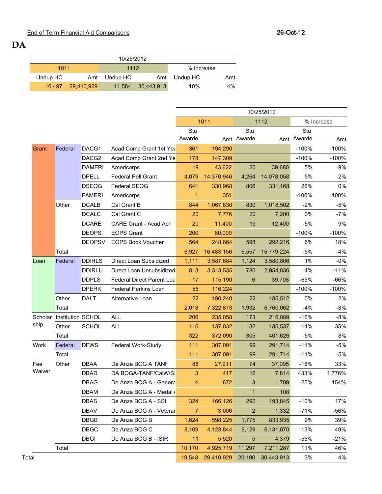DA

| 10/25/2012 |                   |          |            |            |     |  |  |  |  |  |
|------------|-------------------|----------|------------|------------|-----|--|--|--|--|--|
| 1011       |                   | 1112     |            | % Increase |     |  |  |  |  |  |
| Undup HC   | Amt               | Undup HC | Amt        | Undup HC   | Amt |  |  |  |  |  |
|            | 10.497 29.410.929 | 11.584   | 30,443,913 | 10%        | 4%  |  |  |  |  |  |

|         |                   |                   |                                  |                |            |              | 10/25/2012 |         |            |
|---------|-------------------|-------------------|----------------------------------|----------------|------------|--------------|------------|---------|------------|
|         |                   |                   |                                  |                | 1011       |              | 1112       |         | % Increase |
|         |                   |                   |                                  | Stu            |            | Stu          |            | Stu     |            |
|         |                   |                   |                                  | Awarde         |            | Amt Awarde   | Amt        | Awarde  | Amt        |
| Grant   | Federal           | DACG1             | Acad Comp Grant 1st Yea          | 361            | 194,290    |              |            | $-100%$ | $-100%$    |
|         |                   | DACG <sub>2</sub> | Acad Comp Grant 2nd Ye           | 178            | 147,309    |              |            | $-100%$ | $-100%$    |
|         |                   | <b>DAMERI</b>     | Americorps                       | 19             | 43,622     | 20           | 39,680     | 5%      | $-9%$      |
|         |                   | <b>DPELL</b>      | <b>Federal Pell Grant</b>        | 4,079          | 14,370,946 | 4,264        | 14,078,058 | 5%      | $-2%$      |
|         |                   | <b>DSEOG</b>      | <b>Federal SEOG</b>              | 641            | 330,968    | 806          | 331,168    | 26%     | $0\%$      |
|         |                   | <b>FAMERI</b>     | Americorps                       | $\mathbf{1}$   | 351        |              |            | $-100%$ | $-100%$    |
|         | Other             | <b>DCALB</b>      | Cal Grant B                      | 844            | 1,067,830  | 830          | 1,018,502  | $-2%$   | $-5%$      |
|         |                   | <b>DCALC</b>      | Cal Grant C                      | 20             | 7,776      | 20           | 7,200      | 0%      | $-7%$      |
|         |                   | <b>DCARE</b>      | CARE Grant - Acad Ach            | 20             | 11,400     | 19           | 12,400     | $-5%$   | 9%         |
|         |                   | <b>DEOPS</b>      | <b>EOPS Grant</b>                | 200            | 60,000     |              |            | $-100%$ | $-100%$    |
|         |                   | <b>DEOPSV</b>     | <b>EOPS Book Voucher</b>         | 564            | 248,664    | 598          | 292,216    | 6%      | 18%        |
|         | Total             |                   |                                  | 6,927          | 16,483,156 | 6,557        | 15,779,224 | $-5%$   | $-4%$      |
| Loan    | Federal           | <b>DDIRLS</b>     | Direct Loan Subsidized           | 1,111          | 3,587,684  | 1,124        | 3,580,806  | 1%      | $-0%$      |
|         |                   | <b>DDIRLU</b>     | Direct Loan Unsubsidized         | 813            | 3,313,535  | 780          | 2,954,036  | $-4%$   | $-11%$     |
|         |                   | <b>DDPLS</b>      | <b>Federal Direct Parent Loa</b> | 17             | 115,190    | 6            | 39,708     | $-65%$  | -66%       |
|         |                   | <b>DPERK</b>      | <b>Federal Perkins Loan</b>      | 55             | 116,224    |              |            | $-100%$ | $-100%$    |
|         | Other             | <b>DALT</b>       | Alternative Loan                 | 22             | 190,240    | 22           | 185,512    | 0%      | $-2%$      |
|         | Total             |                   | 2,018                            | 7,322,873      | 1,932      | 6,760,062    | $-4%$      | $-8%$   |            |
| Scholar | Institution SCHOL |                   | <b>ALL</b>                       | 206            | 235,058    | 173          | 216,089    | $-16%$  | $-8%$      |
| ship    | Other             | <b>SCHOL</b>      | ALL                              | 116            | 137,032    | 132          | 185,537    | 14%     | 35%        |
|         | Total             |                   |                                  | 322            | 372,090    | 305          | 401,626    | $-5%$   | 8%         |
| Work    | Federal           | <b>DFWS</b>       | Federal Work-Study               | 111            | 307,091    | 99           | 291,714    | $-11%$  | $-5%$      |
|         | Total             |                   |                                  | 111            | 307,091    | 99           | 291,714    | $-11%$  | $-5%$      |
| Fee     | Other             | <b>DBAA</b>       | De Anza BOG A TANF               | 88             | 27,911     | 74           | 37,095     | $-16%$  | 33%        |
| Waiver  |                   | <b>DBAD</b>       | DA BOGA-TANF/CalW/S!             | 3              | 417        | 16           | 7,814      | 433%    | 1,776%     |
|         |                   | <b>DBAG</b>       | De Anza BOG A - Genera           | 4              | 672        | 3            | 1,709      | $-25%$  | 154%       |
|         |                   | <b>DBAM</b>       | De Anza BOG A - Medal o          |                |            | $\mathbf{1}$ | 108        |         |            |
|         |                   | <b>DBAS</b>       | De Anza BOG A - SSI              | 324            | 166,126    | 292          | 193,845    | $-10%$  | 17%        |
|         |                   | <b>DBAV</b>       | De Anza BOG A - Veterar          | $\overline{7}$ | 3,006      | 2            | 1,332      | $-71%$  | -56%       |
|         |                   | <b>DBGB</b>       | De Anza BOG B                    | 1,624          | 598,225    | 1,775        | 833,935    | 9%      | 39%        |
|         |                   | <b>DBGC</b>       | De Anza BOG C                    | 8,109          | 4,123,844  | 9,129        | 6,131,070  | 13%     | 49%        |
|         |                   | <b>DBGI</b>       | De Anza BOG B - ISIR             | 11             | 5,520      | 5            | 4,379      | $-55%$  | $-21%$     |
|         | Total             |                   |                                  | 10,170         | 4,925,719  | 11,297       | 7,211,287  | 11%     | 46%        |
| Total   |                   |                   |                                  | 19,548         | 29,410,929 | 20,190       | 30,443,913 | 3%      | 4%         |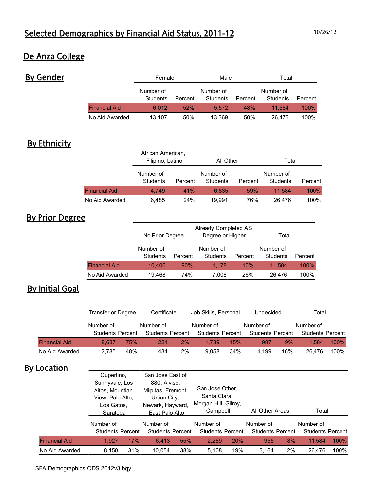## De Anza College

By Gender

|                      | Female                |         | Male                  |         | Total                 |         |  |
|----------------------|-----------------------|---------|-----------------------|---------|-----------------------|---------|--|
|                      | Number of<br>Students | Percent | Number of<br>Students | Percent | Number of<br>Students | Percent |  |
| <b>Financial Aid</b> | 6.012                 | 52%     | 5.572                 | 48%     | 11.584                | 100%    |  |
| No Aid Awarded       | 13.107                | 50%     | 13.369                | 50%     | 26.476                | 100%    |  |

## **By Ethnicity**

|                      | African American,<br>Filipino, Latino |         | All Other                        |     | Total                 |         |  |
|----------------------|---------------------------------------|---------|----------------------------------|-----|-----------------------|---------|--|
|                      | Number of<br>Students                 | Percent | Number of<br>Students<br>Percent |     | Number of<br>Students | Percent |  |
| <b>Financial Aid</b> | 4.749                                 | 41%     | 6.835                            | 59% | 11.584                | 100%    |  |
| No Aid Awarded       | 6,485                                 | 24%     | 19.991                           | 76% | 26.476                | 100%    |  |

# By Prior Degree

|                      | No Prior Degree                  |     | Already Completed AS<br>Degree or Higher |     | Total                            |      |  |
|----------------------|----------------------------------|-----|------------------------------------------|-----|----------------------------------|------|--|
|                      | Number of<br>Students<br>Percent |     | Number of<br>Students<br>Percent         |     | Number of<br>Students<br>Percent |      |  |
| <b>Financial Aid</b> | 10,406                           | 90% | 1.178                                    | 10% | 11.584                           | 100% |  |
| No Aid Awarded       | 74%<br>19,468                    |     | 7.008                                    | 26% | 26.476                           | 100% |  |

# **By Initial Goal**

|                      | Transfer or Degree      |     | Certificate             |    | Job Skills, Personal    |     | Undecided               |     | Total                   |      |
|----------------------|-------------------------|-----|-------------------------|----|-------------------------|-----|-------------------------|-----|-------------------------|------|
|                      | Number of               |     | Number of               |    | Number of               |     | Number of               |     | Number of               |      |
|                      | <b>Students Percent</b> |     | <b>Students Percent</b> |    | <b>Students Percent</b> |     | <b>Students Percent</b> |     | <b>Students Percent</b> |      |
| <b>Financial Aid</b> | 8.637                   | 75% | 221                     | 2% | 1.739                   | 15% | 987                     | 9%  | 11.584                  | 100% |
| No Aid Awarded       | 12.785                  | 48% | 434                     | 2% | 9.058                   | 34% | 4.199                   | 16% | 26.476                  | 100% |

### **By Location**

|                      | Cupertino.<br>Sunnyvale, Los<br>Altos, Mountian<br>View, Palo Alto,<br>Los Gatos.<br>Saratoga |     | San Jose East of<br>880, Alviso,<br>Milpitas, Fremont,<br>Union City,<br>Newark, Hayward,<br>East Palo Alto |     | San Jose Other,<br>Santa Clara,<br>Morgan Hill, Gilroy,<br>Campbell |     | All Other Areas         |     | Total                   |      |
|----------------------|-----------------------------------------------------------------------------------------------|-----|-------------------------------------------------------------------------------------------------------------|-----|---------------------------------------------------------------------|-----|-------------------------|-----|-------------------------|------|
|                      | Number of                                                                                     |     | Number of                                                                                                   |     | Number of                                                           |     | Number of               |     | Number of               |      |
|                      | <b>Students Percent</b>                                                                       |     | <b>Students Percent</b>                                                                                     |     | <b>Students Percent</b>                                             |     | <b>Students Percent</b> |     | <b>Students Percent</b> |      |
| <b>Financial Aid</b> | 1.927                                                                                         | 17% | 6.413                                                                                                       | 55% | 2.289                                                               | 20% | 955                     | 8%  | 11.584                  | 100% |
| No Aid Awarded       | 8.150                                                                                         | 31% | 10.054                                                                                                      | 38% | 5.108                                                               | 19% | 3.164                   | 12% | 26.476                  | 100% |